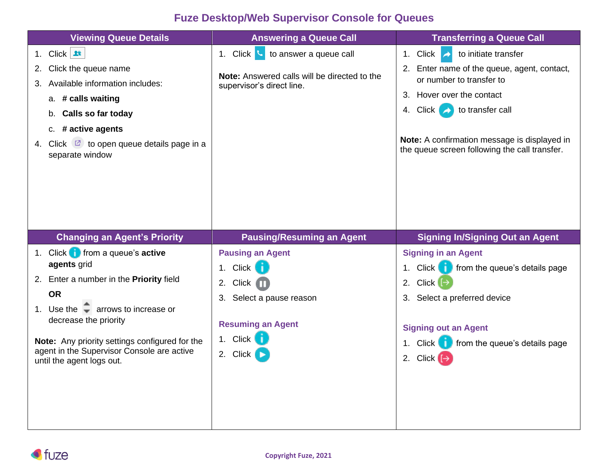## **Fuze Desktop/Web Supervisor Console for Queues**

| <b>Viewing Queue Details</b>                                                                                                                                                                                                                                                                                                            | <b>Answering a Queue Call</b>                                                                                                                       | <b>Transferring a Queue Call</b>                                                                                                                                                                                              |
|-----------------------------------------------------------------------------------------------------------------------------------------------------------------------------------------------------------------------------------------------------------------------------------------------------------------------------------------|-----------------------------------------------------------------------------------------------------------------------------------------------------|-------------------------------------------------------------------------------------------------------------------------------------------------------------------------------------------------------------------------------|
| 1. Click $\mathbf{R}$                                                                                                                                                                                                                                                                                                                   | 1. Click $\sim$ to answer a queue call                                                                                                              | 1. Click $\rightarrow$<br>to initiate transfer                                                                                                                                                                                |
| Click the queue name<br>2.<br>Available information includes:<br>З.                                                                                                                                                                                                                                                                     | <b>Note:</b> Answered calls will be directed to the<br>supervisor's direct line.                                                                    | 2. Enter name of the queue, agent, contact,<br>or number to transfer to                                                                                                                                                       |
| a. # calls waiting<br>b. Calls so far today<br>c. # active agents<br>Click $\boxed{2}$ to open queue details page in a<br>4.<br>separate window                                                                                                                                                                                         |                                                                                                                                                     | 3. Hover over the contact<br>4. Click $\rightarrow$ to transfer call<br>Note: A confirmation message is displayed in<br>the queue screen following the call transfer.                                                         |
| <b>Changing an Agent's Priority</b>                                                                                                                                                                                                                                                                                                     | <b>Pausing/Resuming an Agent</b>                                                                                                                    | <b>Signing In/Signing Out an Agent</b>                                                                                                                                                                                        |
| 1. Click $\blacksquare$ from a queue's active<br>agents grid<br>2. Enter a number in the Priority field<br><b>OR</b><br>1. Use the $\overline{\phantom{a}}$ arrows to increase or<br>decrease the priority<br>Note: Any priority settings configured for the<br>agent in the Supervisor Console are active<br>until the agent logs out. | <b>Pausing an Agent</b><br>1. Click<br>n.<br>$Click$ $\Box$<br>2.<br>3. Select a pause reason<br><b>Resuming an Agent</b><br>1. Click  <br>2. Click | <b>Signing in an Agent</b><br>Click of from the queue's details page<br>1.<br>2. Click $\Box$<br>3. Select a preferred device<br><b>Signing out an Agent</b><br>1. Click <b>the from the queue's details page</b><br>2. Click |